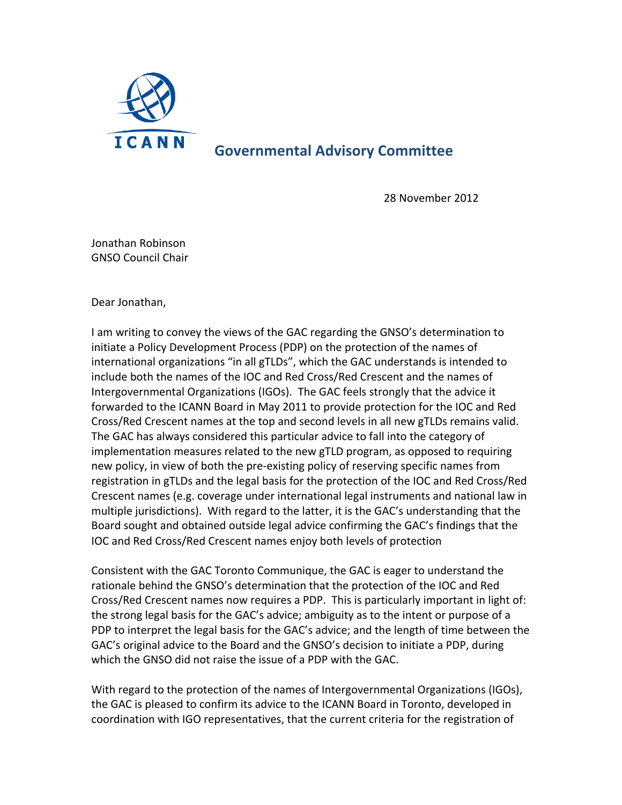

## **Governmental Advisory Committee**

28 November 2012

Jonathan Robinson **GNSO Council Chair** 

Dear Jonathan,

I am writing to convey the views of the GAC regarding the GNSO's determination to initiate a Policy Development Process (PDP) on the protection of the names of international organizations "in all gTLDs", which the GAC understands is intended to include both the names of the IOC and Red Cross/Red Crescent and the names of Intergovernmental Organizations (IGOs). The GAC feels strongly that the advice it forwarded to the ICANN Board in May 2011 to provide protection for the IOC and Red Cross/Red Crescent names at the top and second levels in all new gTLDs remains valid. The GAC has always considered this particular advice to fall into the category of implementation measures related to the new gTLD program, as opposed to requiring new policy, in view of both the pre-existing policy of reserving specific names from registration in gTLDs and the legal basis for the protection of the IOC and Red Cross/Red Crescent names (e.g. coverage under international legal instruments and national law in multiple jurisdictions). With regard to the latter, it is the GAC's understanding that the Board sought and obtained outside legal advice confirming the GAC's findings that the IOC and Red Cross/Red Crescent names enjoy both levels of protection

Consistent with the GAC Toronto Communique, the GAC is eager to understand the rationale behind the GNSO's determination that the protection of the IOC and Red Cross/Red Crescent names now requires a PDP. This is particularly important in light of: the strong legal basis for the GAC's advice; ambiguity as to the intent or purpose of a PDP to interpret the legal basis for the GAC's advice; and the length of time between the GAC's original advice to the Board and the GNSO's decision to initiate a PDP, during which the GNSO did not raise the issue of a PDP with the GAC.

With regard to the protection of the names of Intergovernmental Organizations (IGOs), the GAC is pleased to confirm its advice to the ICANN Board in Toronto, developed in coordination with IGO representatives, that the current criteria for the registration of